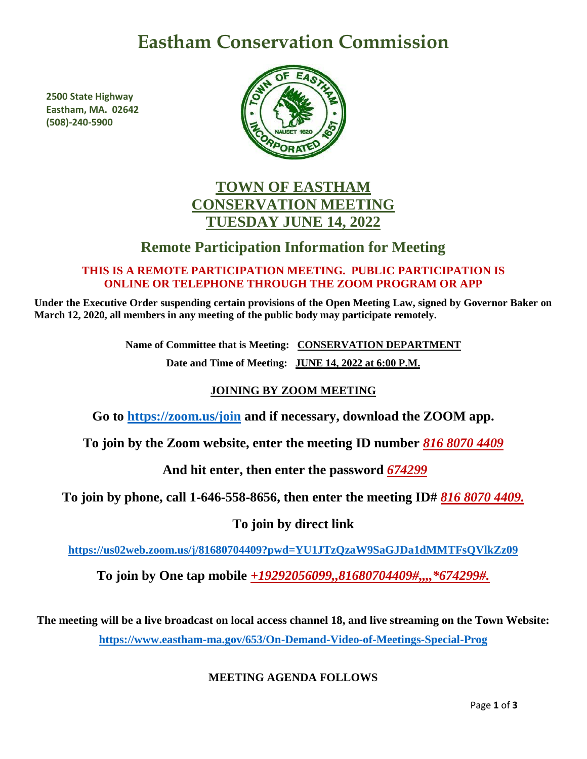# **Eastham Conservation Commission**

**2500 State Highway Eastham, MA. 02642 (508)-240-5900**



# **TOWN OF EASTHAM CONSERVATION MEETING TUESDAY JUNE 14, 2022**

# **Remote Participation Information for Meeting**

## **THIS IS A REMOTE PARTICIPATION MEETING. PUBLIC PARTICIPATION IS ONLINE OR TELEPHONE THROUGH THE ZOOM PROGRAM OR APP**

**Under the Executive Order suspending certain provisions of the Open Meeting Law, signed by Governor Baker on March 12, 2020, all members in any meeting of the public body may participate remotely.**

> **Name of Committee that is Meeting: CONSERVATION DEPARTMENT Date and Time of Meeting: JUNE 14, 2022 at 6:00 P.M.**

# **JOINING BY ZOOM MEETING**

**Go to<https://zoom.us/join> and if necessary, download the ZOOM app.**

**To join by the Zoom website, enter the meeting ID number** *816 8070 4409*

**And hit enter, then enter the password** *674299*

**To join by phone, call 1-646-558-8656, then enter the meeting ID#** *816 8070 4409.*

# **To join by direct link**

**<https://us02web.zoom.us/j/81680704409?pwd=YU1JTzQzaW9SaGJDa1dMMTFsQVlkZz09>**

**To join by One tap mobile** *+19292056099,,81680704409#,,,,\*674299#.*

**The meeting will be a live broadcast on local access channel 18, and live streaming on the Town Website: <https://www.eastham-ma.gov/653/On-Demand-Video-of-Meetings-Special-Prog>**

# **MEETING AGENDA FOLLOWS**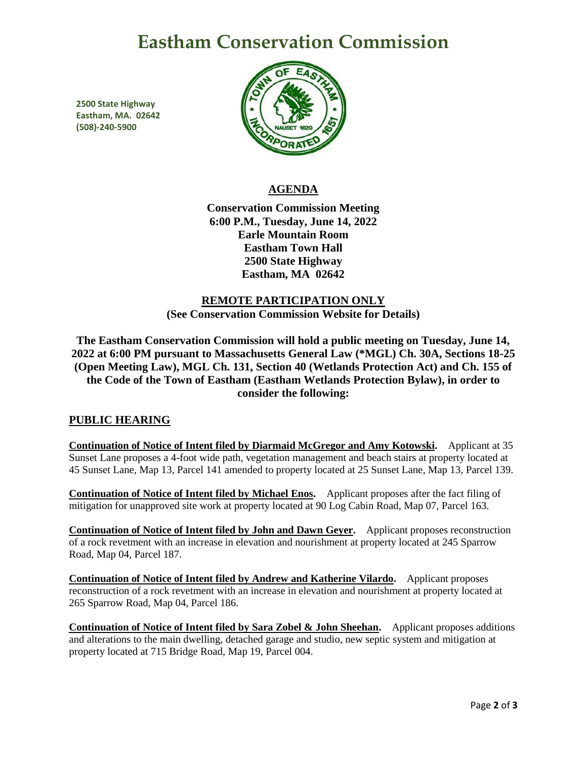# **Eastham Conservation Commission**

**2500 State Highway Eastham, MA. 02642 (508)-240-5900**



## **AGENDA**

**Conservation Commission Meeting 6:00 P.M., Tuesday, June 14, 2022 Earle Mountain Room Eastham Town Hall 2500 State Highway Eastham, MA 02642**

# **REMOTE PARTICIPATION ONLY (See Conservation Commission Website for Details)**

**The Eastham Conservation Commission will hold a public meeting on Tuesday, June 14, 2022 at 6:00 PM pursuant to Massachusetts General Law (\*MGL) Ch. 30A, Sections 18-25 (Open Meeting Law), MGL Ch. 131, Section 40 (Wetlands Protection Act) and Ch. 155 of the Code of the Town of Eastham (Eastham Wetlands Protection Bylaw), in order to consider the following:**

### **PUBLIC HEARING**

**Continuation of Notice of Intent filed by Diarmaid McGregor and Amy Kotowski.** Applicant at 35 Sunset Lane proposes a 4-foot wide path, vegetation management and beach stairs at property located at 45 Sunset Lane, Map 13, Parcel 141 amended to property located at 25 Sunset Lane, Map 13, Parcel 139.

**Continuation of Notice of Intent filed by Michael Enos.** Applicant proposes after the fact filing of mitigation for unapproved site work at property located at 90 Log Cabin Road, Map 07, Parcel 163.

**Continuation of Notice of Intent filed by John and Dawn Geyer.** Applicant proposes reconstruction of a rock revetment with an increase in elevation and nourishment at property located at 245 Sparrow Road, Map 04, Parcel 187.

**Continuation of Notice of Intent filed by Andrew and Katherine Vilardo.** Applicant proposes reconstruction of a rock revetment with an increase in elevation and nourishment at property located at 265 Sparrow Road, Map 04, Parcel 186.

**Continuation of Notice of Intent filed by Sara Zobel & John Sheehan.** Applicant proposes additions and alterations to the main dwelling, detached garage and studio, new septic system and mitigation at property located at 715 Bridge Road, Map 19, Parcel 004.